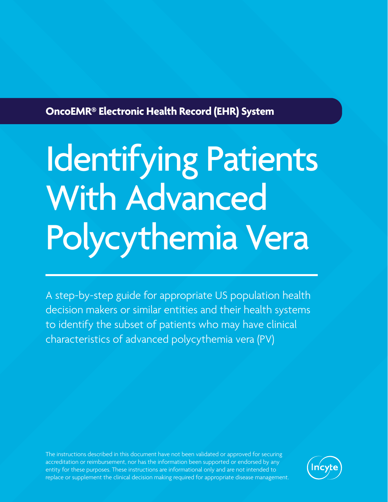## **OncoEMR® Electronic Health Record (EHR) System**

# Identifying Patients With Advanced Polycythemia Vera

A step-by-step guide for appropriate US population health decision makers or similar entities and their health systems to identify the subset of patients who may have clinical characteristics of advanced polycythemia vera (PV)

The instructions described in this document have not been validated or approved for securing accreditation or reimbursement, nor has the information been supported or endorsed by any entity for these purposes. These instructions are informational only and are not intended to replace or supplement the clinical decision making required for appropriate disease management.

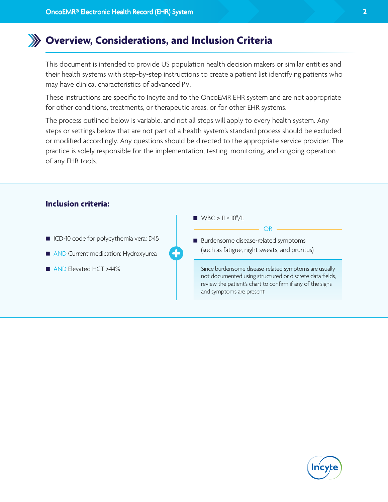## **Overview, Considerations, and Inclusion Criteria**

This document is intended to provide US population health decision makers or similar entities and their health systems with step-by-step instructions to create a patient list identifying patients who may have clinical characteristics of advanced PV.

These instructions are specific to Incyte and to the OncoEMR EHR system and are not appropriate for other conditions, treatments, or therapeutic areas, or for other EHR systems.

The process outlined below is variable, and not all steps will apply to every health system. Any steps or settings below that are not part of a health system's standard process should be excluded or modified accordingly. Any questions should be directed to the appropriate service provider. The practice is solely responsible for the implementation, testing, monitoring, and ongoing operation of any EHR tools.



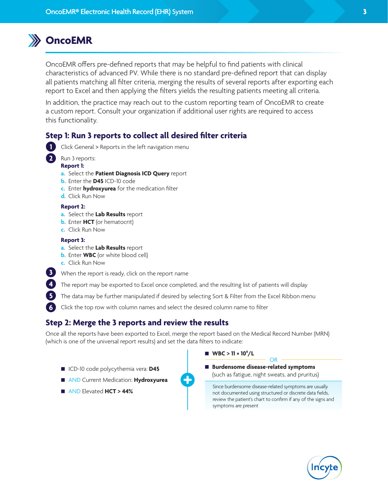## **OncoEMR**

OncoEMR offers pre-defined reports that may be helpful to find patients with clinical characteristics of advanced PV. While there is no standard pre-defined report that can display all patients matching all filter criteria, merging the results of several reports after exporting each report to Excel and then applying the filters yields the resulting patients meeting all criteria.

In addition, the practice may reach out to the custom reporting team of OncoEMR to create a custom report. Consult your organization if additional user rights are required to access this functionality.

## **Step 1: Run 3 reports to collect all desired filter criteria**



**5 6** Click General > Reports in the left navigation menu

Run 3 reports:

#### **Report 1:**

- **a.** Select the **Patient Diagnosis ICD Query** report
- **b.** Enter the **D45** ICD-10 code
- **c.** Enter **hydroxyurea** for the medication filter
- **d.** Click Run Now

#### **Report 2:**

- **a.** Select the **Lab Results** report
- **b.** Enter **HCT** (or hematocrit)
- **c.** Click Run Now

#### **Report 3:**

- **a.** Select the **Lab Results** report
- **b.** Enter **WBC** (or white blood cell)
- **c.** Click Run Now
- When the report is ready, click on the report name **3**
- The report may be exported to Excel once completed, and the resulting list of patients will display **4**
	- The data may be further manipulated if desired by selecting Sort & Filter from the Excel Ribbon menu

Click the top row with column names and select the desired column name to filter

### **Step 2: Merge the 3 reports and review the results**

Once all the reports have been exported to Excel, merge the report based on the Medical Record Number (MRN) (which is one of the universal report results) and set the data filters to indicate:

- ICD-10 code polycythemia vera: **D45**
- AND Current Medication: **Hydroxyurea**
- AND Elevated **HCT > 44%**



 **Burdensome disease-related symptoms** (such as fatigue, night sweats, and pruritus) OR

Since burdensome disease-related symptoms are usually not documented using structured or discrete data fields, review the patient's chart to confirm if any of the signs and symptoms are present